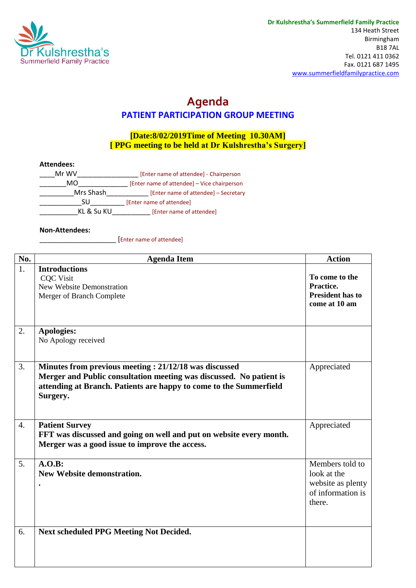

## **Agenda PATIENT PARTICIPATION GROUP MEETING**

## **[Date:8/02/2019Time of Meeting 10.30AM] [ PPG meeting to be held at Dr Kulshrestha's Surgery]**

## **Attendees:**

| Mr WV      | [Enter name of attendee] - Chairperson      |
|------------|---------------------------------------------|
| MO         | [Enter name of attendee] - Vice chairperson |
| Mrs Shash  | [Enter name of attendee] - Secretary        |
| SU         | [Enter name of attendee]                    |
| KL & Su KU | [Enter name of attendee]                    |

## **Non-Attendees:**

\_\_\_\_\_\_\_\_\_\_\_\_\_\_\_\_\_\_\_\_ [Enter name of attendee]

| No.              | <b>Agenda Item</b>                                                                                                                                                                                             | <b>Action</b>                                                                      |
|------------------|----------------------------------------------------------------------------------------------------------------------------------------------------------------------------------------------------------------|------------------------------------------------------------------------------------|
| 1.               | <b>Introductions</b><br><b>CQC</b> Visit<br><b>New Website Demonstration</b><br>Merger of Branch Complete                                                                                                      | To come to the<br>Practice.<br><b>President has to</b><br>come at 10 am            |
| 2.               | <b>Apologies:</b><br>No Apology received                                                                                                                                                                       |                                                                                    |
| 3.               | Minutes from previous meeting: 21/12/18 was discussed<br>Merger and Public consultation meeting was discussed. No patient is<br>attending at Branch. Patients are happy to come to the Summerfield<br>Surgery. | Appreciated                                                                        |
| $\overline{4}$ . | <b>Patient Survey</b><br>FFT was discussed and going on well and put on website every month.<br>Merger was a good issue to improve the access.                                                                 | Appreciated                                                                        |
| 5.               | A.O.B:<br><b>New Website demonstration.</b>                                                                                                                                                                    | Members told to<br>look at the<br>website as plenty<br>of information is<br>there. |
| 6.               | <b>Next scheduled PPG Meeting Not Decided.</b>                                                                                                                                                                 |                                                                                    |